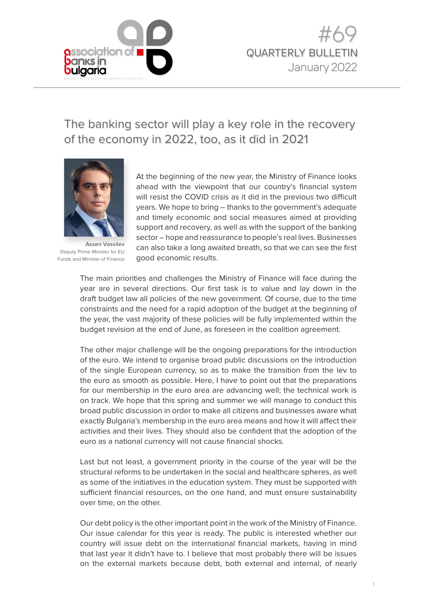

## The banking sector will play a key role in the recovery of the economy in 2022, too, as it did in 2021



**Assen Vassilev**  Deputy Prime Minister for EU Funds and Minister of Finance

At the beginning of the new year, the Ministry of Finance looks ahead with the viewpoint that our country's financial system will resist the COVID crisis as it did in the previous two difficult years. We hope to bring – thanks to the government's adequate and timely economic and social measures aimed at providing support and recovery, as well as with the support of the banking sector – hope and reassurance to people's real lives. Businesses can also take a long awaited breath, so that we can see the first good economic results.

The main priorities and challenges the Ministry of Finance will face during the year are in several directions. Our first task is to value and lay down in the draft budget law all policies of the new government. Of course, due to the time constraints and the need for a rapid adoption of the budget at the beginning of the year, the vast majority of these policies will be fully implemented within the budget revision at the end of June, as foreseen in the coalition agreement.

The other major challenge will be the ongoing preparations for the introduction of the euro. We intend to organise broad public discussions on the introduction of the single European currency, so as to make the transition from the lev to the euro as smooth as possible. Here, I have to point out that the preparations for our membership in the euro area are advancing well; the technical work is on track. We hope that this spring and summer we will manage to conduct this broad public discussion in order to make all citizens and businesses aware what exactly Bulgaria's membership in the euro area means and how it will affect their activities and their lives. They should also be confident that the adoption of the euro as a national currency will not cause financial shocks.

Last but not least, a government priority in the course of the year will be the structural reforms to be undertaken in the social and healthcare spheres, as well as some of the initiatives in the education system. They must be supported with sufficient financial resources, on the one hand, and must ensure sustainability over time, on the other.

Our debt policy is the other important point in the work of the Ministry of Finance. Our issue calendar for this year is ready. The public is interested whether our country will issue debt on the international financial markets, having in mind that last year it didn't have to. I believe that most probably there will be issues on the external markets because debt, both external and internal, of nearly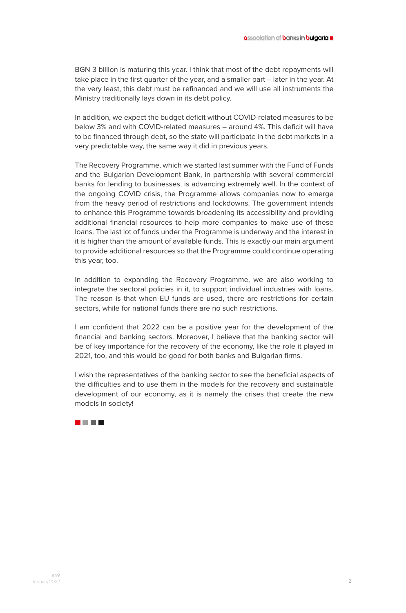BGN 3 billion is maturing this year. I think that most of the debt repayments will take place in the first quarter of the year, and a smaller part – later in the year. At the very least, this debt must be refinanced and we will use all instruments the Ministry traditionally lays down in its debt policy.

In addition, we expect the budget deficit without COVID-related measures to be below 3% and with COVID-related measures – around 4%. This deficit will have to be financed through debt, so the state will participate in the debt markets in a very predictable way, the same way it did in previous years.

The Recovery Programme, which we started last summer with the Fund of Funds and the Bulgarian Development Bank, in partnership with several commercial banks for lending to businesses, is advancing extremely well. In the context of the ongoing COVID crisis, the Programme allows companies now to emerge from the heavy period of restrictions and lockdowns. The government intends to enhance this Programme towards broadening its accessibility and providing additional financial resources to help more companies to make use of these loans. The last lot of funds under the Programme is underway and the interest in it is higher than the amount of available funds. This is exactly our main argument to provide additional resources so that the Programme could continue operating this year, too.

In addition to expanding the Recovery Programme, we are also working to integrate the sectoral policies in it, to support individual industries with loans. The reason is that when EU funds are used, there are restrictions for certain sectors, while for national funds there are no such restrictions.

I am confident that 2022 can be a positive year for the development of the financial and banking sectors. Moreover, I believe that the banking sector will be of key importance for the recovery of the economy, like the role it played in 2021, too, and this would be good for both banks and Bulgarian firms.

I wish the representatives of the banking sector to see the beneficial aspects of the difficulties and to use them in the models for the recovery and sustainable development of our economy, as it is namely the crises that create the new models in society!

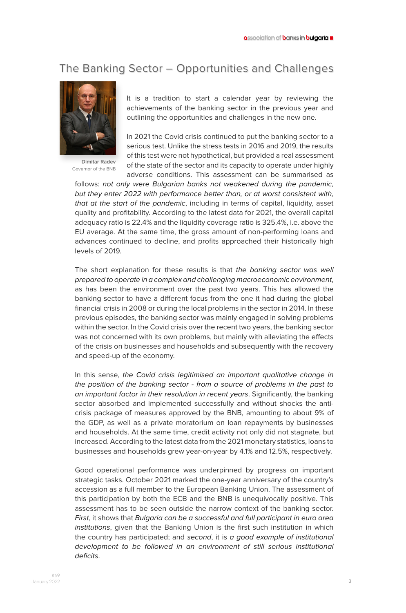## The Banking Sector – Opportunities and Challenges



**Dimitar Radev**  Governor of the BNB

It is a tradition to start a calendar year by reviewing the achievements of the banking sector in the previous year and outlining the opportunities and challenges in the new one.

In 2021 the Covid crisis continued to put the banking sector to a serious test. Unlike the stress tests in 2016 and 2019, the results of this test were not hypothetical, but provided a real assessment of the state of the sector and its capacity to operate under highly adverse conditions. This assessment can be summarised as

follows: not only were Bulgarian banks not weakened during the pandemic, but they enter 2022 with performance better than, or at worst consistent with, that at the start of the pandemic, including in terms of capital, liquidity, asset quality and profitability. According to the latest data for 2021, the overall capital adequacy ratio is 22.4% and the liquidity coverage ratio is 325.4%, i.e. above the EU average. At the same time, the gross amount of non-performing loans and advances continued to decline, and profits approached their historically high levels of 2019.

The short explanation for these results is that the banking sector was well prepared to operate in a complex and challenging macroeconomic environment, as has been the environment over the past two years. This has allowed the banking sector to have a different focus from the one it had during the global financial crisis in 2008 or during the local problems in the sector in 2014. In these previous episodes, the banking sector was mainly engaged in solving problems within the sector. In the Covid crisis over the recent two years, the banking sector was not concerned with its own problems, but mainly with alleviating the effects of the crisis on businesses and households and subsequently with the recovery and speed-up of the economy.

In this sense, the Covid crisis legitimised an important qualitative change in the position of the banking sector - from a source of problems in the past to an important factor in their resolution in recent years. Significantly, the banking sector absorbed and implemented successfully and without shocks the anticrisis package of measures approved by the BNB, amounting to about 9% of the GDP, as well as a private moratorium on loan repayments by businesses and households. At the same time, credit activity not only did not stagnate, but increased. According to the latest data from the 2021 monetary statistics, loans to businesses and households grew year-on-year by 4.1% and 12.5%, respectively.

Good operational performance was underpinned by progress on important strategic tasks. October 2021 marked the one-year anniversary of the country's accession as a full member to the European Banking Union. The assessment of this participation by both the ECB and the BNB is unequivocally positive. This assessment has to be seen outside the narrow context of the banking sector. First, it shows that Bulgaria can be a successful and full participant in euro area institutions, given that the Banking Union is the first such institution in which the country has participated; and second, it is a good example of institutional development to be followed in an environment of still serious institutional deficits.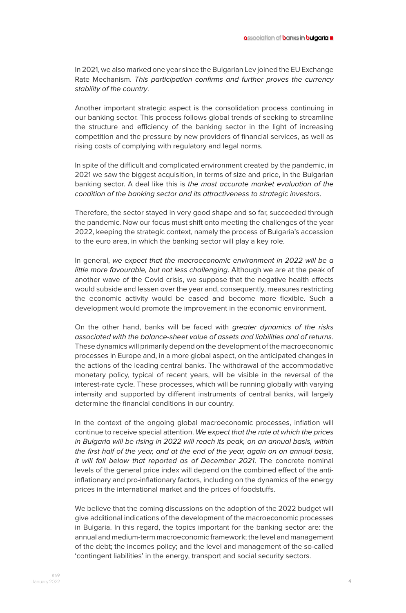In 2021, we also marked one year since the Bulgarian Lev joined the EU Exchange Rate Mechanism. This participation confirms and further proves the currency stability of the country.

Another important strategic aspect is the consolidation process continuing in our banking sector. This process follows global trends of seeking to streamline the structure and efficiency of the banking sector in the light of increasing competition and the pressure by new providers of financial services, as well as rising costs of complying with regulatory and legal norms.

In spite of the difficult and complicated environment created by the pandemic, in 2021 we saw the biggest acquisition, in terms of size and price, in the Bulgarian banking sector. A deal like this is the most accurate market evaluation of the condition of the banking sector and its attractiveness to strategic investors.

Therefore, the sector stayed in very good shape and so far, succeeded through the pandemic. Now our focus must shift onto meeting the challenges of the year 2022, keeping the strategic context, namely the process of Bulgaria's accession to the euro area, in which the banking sector will play a key role.

In general, we expect that the macroeconomic environment in 2022 will be a little more favourable, but not less challenging. Although we are at the peak of another wave of the Covid crisis, we suppose that the negative health effects would subside and lessen over the year and, consequently, measures restricting the economic activity would be eased and become more flexible. Such a development would promote the improvement in the economic environment.

On the other hand, banks will be faced with greater dynamics of the risks associated with the balance-sheet value of assets and liabilities and of returns. These dynamics will primarily depend on the development of the macroeconomic processes in Europe and, in a more global aspect, on the anticipated changes in the actions of the leading central banks. The withdrawal of the accommodative monetary policy, typical of recent years, will be visible in the reversal of the interest-rate cycle. These processes, which will be running globally with varying intensity and supported by different instruments of central banks, will largely determine the financial conditions in our country.

In the context of the ongoing global macroeconomic processes, inflation will continue to receive special attention. We expect that the rate at which the prices in Bulgaria will be rising in 2022 will reach its peak, on an annual basis, within the first half of the year, and at the end of the year, again on an annual basis, it will fall below that reported as of December 2021. The concrete nominal levels of the general price index will depend on the combined effect of the antiinflationary and pro-inflationary factors, including on the dynamics of the energy prices in the international market and the prices of foodstuffs.

We believe that the coming discussions on the adoption of the 2022 budget will give additional indications of the development of the macroeconomic processes in Bulgaria. In this regard, the topics important for the banking sector are: the annual and medium-term macroeconomic framework; the level and management of the debt; the incomes policy; and the level and management of the so-called 'contingent liabilities' in the energy, transport and social security sectors.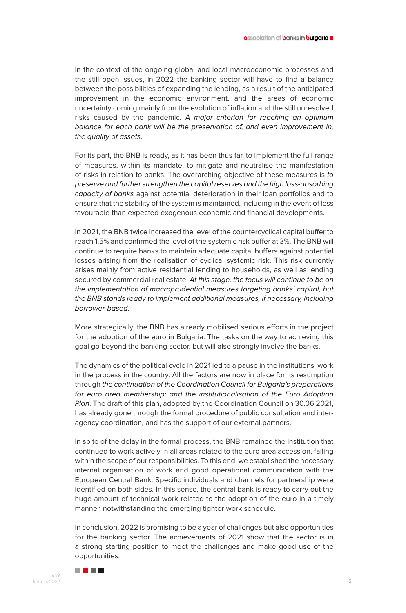In the context of the ongoing global and local macroeconomic processes and the still open issues, in 2022 the banking sector will have to find a balance between the possibilities of expanding the lending, as a result of the anticipated improvement in the economic environment, and the areas of economic uncertainty coming mainly from the evolution of inflation and the still unresolved risks caused by the pandemic. A major criterion for reaching an optimum balance for each bank will be the preservation of, and even improvement in, the quality of assets.

For its part, the BNB is ready, as it has been thus far, to implement the full range of measures, within its mandate, to mitigate and neutralise the manifestation of risks in relation to banks. The overarching objective of these measures is to preserve and further strengthen the capital reserves and the high loss-absorbing capacity of banks against potential deterioration in their loan portfolios and to ensure that the stability of the system is maintained, including in the event of less favourable than expected exogenous economic and financial developments.

In 2021, the BNB twice increased the level of the countercyclical capital buffer to reach 1.5% and confirmed the level of the systemic risk buffer at 3%. The BNB will continue to require banks to maintain adequate capital buffers against potential losses arising from the realisation of cyclical systemic risk. This risk currently arises mainly from active residential lending to households, as well as lending secured by commercial real estate. At this stage, the focus will continue to be on the implementation of macroprudential measures targeting banks' capital, but the BNB stands ready to implement additional measures, if necessary, including borrower-based.

More strategically, the BNB has already mobilised serious efforts in the project for the adoption of the euro in Bulgaria. The tasks on the way to achieving this goal go beyond the banking sector, but will also strongly involve the banks.

The dynamics of the political cycle in 2021 led to a pause in the institutions' work in the process in the country. All the factors are now in place for its resumption through the continuation of the Coordination Council for Bulgaria's preparations for euro area membership; and the institutionalisation of the Euro Adoption Plan. The draft of this plan, adopted by the Coordination Council on 30.06.2021, has already gone through the formal procedure of public consultation and interagency coordination, and has the support of our external partners.

In spite of the delay in the formal process, the BNB remained the institution that continued to work actively in all areas related to the euro area accession, falling within the scope of our responsibilities. To this end, we established the necessary internal organisation of work and good operational communication with the European Central Bank. Specific individuals and channels for partnership were identified on both sides. In this sense, the central bank is ready to carry out the huge amount of technical work related to the adoption of the euro in a timely manner, notwithstanding the emerging tighter work schedule.

In conclusion, 2022 is promising to be a year of challenges but also opportunities for the banking sector. The achievements of 2021 show that the sector is in a strong starting position to meet the challenges and make good use of the opportunities.

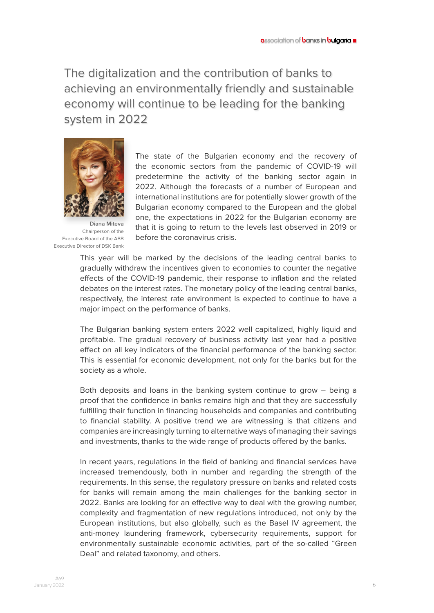The digitalization and the contribution of banks to achieving an environmentally friendly and sustainable economy will continue to be leading for the banking system in 2022



**Diana Miteva**  Chairperson of the Executive Board of the ABB Executive Director of DSK Bank

The state of the Bulgarian economy and the recovery of the economic sectors from the pandemic of COVID-19 will predetermine the activity of the banking sector again in 2022. Although the forecasts of a number of European and international institutions are for potentially slower growth of the Bulgarian economy compared to the European and the global one, the expectations in 2022 for the Bulgarian economy are that it is going to return to the levels last observed in 2019 or before the coronavirus crisis.

This year will be marked by the decisions of the leading central banks to gradually withdraw the incentives given to economies to counter the negative effects of the COVID-19 pandemic, their response to inflation and the related debates on the interest rates. The monetary policy of the leading central banks, respectively, the interest rate environment is expected to continue to have a major impact on the performance of banks.

The Bulgarian banking system enters 2022 well capitalized, highly liquid and profitable. The gradual recovery of business activity last year had a positive effect on all key indicators of the financial performance of the banking sector. This is essential for economic development, not only for the banks but for the society as a whole.

Both deposits and loans in the banking system continue to grow – being a proof that the confidence in banks remains high and that they are successfully fulfilling their function in financing households and companies and contributing to financial stability. A positive trend we are witnessing is that citizens and companies are increasingly turning to alternative ways of managing their savings and investments, thanks to the wide range of products offered by the banks.

In recent years, regulations in the field of banking and financial services have increased tremendously, both in number and regarding the strength of the requirements. In this sense, the regulatory pressure on banks and related costs for banks will remain among the main challenges for the banking sector in 2022. Banks are looking for an effective way to deal with the growing number, complexity and fragmentation of new regulations introduced, not only by the European institutions, but also globally, such as the Basel IV agreement, the anti-money laundering framework, cybersecurity requirements, support for environmentally sustainable economic activities, part of the so-called "Green Deal" and related taxonomy, and others.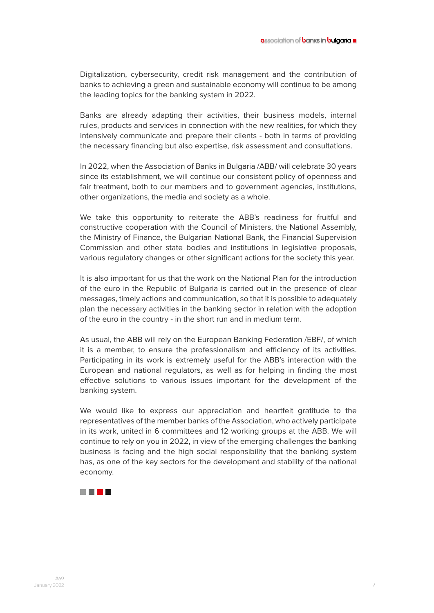Digitalization, cybersecurity, credit risk management and the contribution of banks to achieving a green and sustainable economy will continue to be among the leading topics for the banking system in 2022.

Banks are already adapting their activities, their business models, internal rules, products and services in connection with the new realities, for which they intensively communicate and prepare their clients - both in terms of providing the necessary financing but also expertise, risk assessment and consultations.

In 2022, when the Association of Banks in Bulgaria /ABB/ will celebrate 30 years since its establishment, we will continue our consistent policy of openness and fair treatment, both to our members and to government agencies, institutions, other organizations, the media and society as a whole.

We take this opportunity to reiterate the ABB's readiness for fruitful and constructive cooperation with the Council of Ministers, the National Assembly, the Ministry of Finance, the Bulgarian National Bank, the Financial Supervision Commission and other state bodies and institutions in legislative proposals, various regulatory changes or other significant actions for the society this year.

It is also important for us that the work on the National Plan for the introduction of the euro in the Republic of Bulgaria is carried out in the presence of clear messages, timely actions and communication, so that it is possible to adequately plan the necessary activities in the banking sector in relation with the adoption of the euro in the country - in the short run and in medium term.

As usual, the ABB will rely on the European Banking Federation /EBF/, of which it is a member, to ensure the professionalism and efficiency of its activities. Participating in its work is extremely useful for the ABB's interaction with the European and national regulators, as well as for helping in finding the most effective solutions to various issues important for the development of the banking system.

We would like to express our appreciation and heartfelt gratitude to the representatives of the member banks of the Association, who actively participate in its work, united in 6 committees and 12 working groups at the ABB. We will continue to rely on you in 2022, in view of the emerging challenges the banking business is facing and the high social responsibility that the banking system has, as one of the key sectors for the development and stability of the national economy.